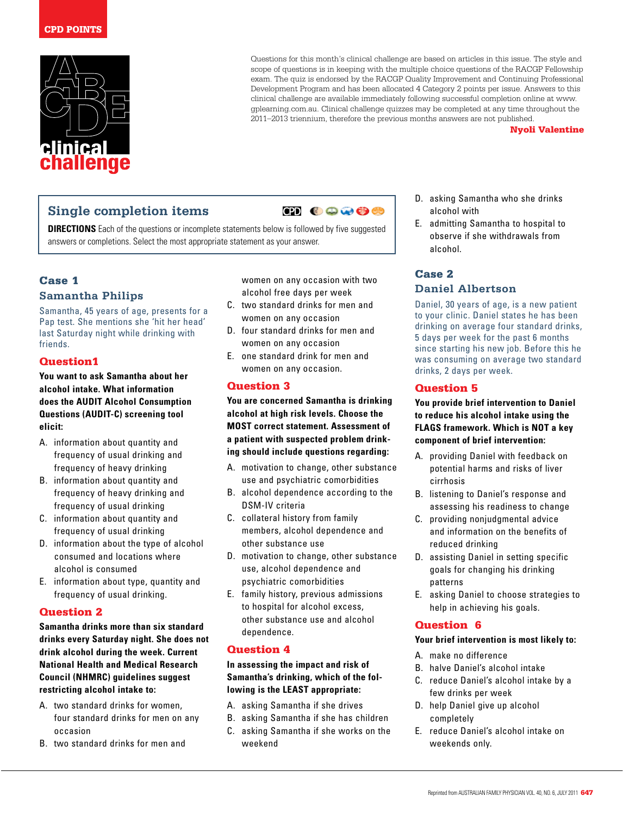

Questions for this month's clinical challenge are based on articles in this issue. The style and scope of questions is in keeping with the multiple choice questions of the RACGP Fellowship exam. The quiz is endorsed by the RACGP Quality Improvement and Continuing Professional Development Program and has been allocated 4 Category 2 points per issue. Answers to this clinical challenge are available immediately following successful completion online at www. gplearning.com.au. Clinical challenge quizzes may be completed at any time throughout the 2011–2013 triennium, therefore the previous months answers are not published.

Nyoli Valentine

## **Single completion items**

**CD 00000** 

**DIRECTIONS** Each of the questions or incomplete statements below is followed by five suggested answers or completions. Select the most appropriate statement as your answer.

## Case 1

## **Samantha Philips**

Samantha, 45 years of age, presents for a Pap test. She mentions she 'hit her head' last Saturday night while drinking with friends.

## Question1

**You want to ask Samantha about her alcohol intake. What information does the AUDIT Alcohol Consumption Questions (AUDIT-C) screening tool elicit:**

- A. information about quantity and frequency of usual drinking and frequency of heavy drinking
- B. information about quantity and frequency of heavy drinking and frequency of usual drinking
- C. information about quantity and frequency of usual drinking
- D. information about the type of alcohol consumed and locations where alcohol is consumed
- E. information about type, quantity and frequency of usual drinking.

## Question 2

**Samantha drinks more than six standard drinks every Saturday night. She does not drink alcohol during the week. Current National Health and Medical Research Council (NHMRC) guidelines suggest restricting alcohol intake to:**

- A. two standard drinks for women, four standard drinks for men on any occasion
- B. two standard drinks for men and

women on any occasion with two alcohol free days per week

- C. two standard drinks for men and women on any occasion
- D. four standard drinks for men and women on any occasion
- E. one standard drink for men and women on any occasion.

## Question 3

**You are concerned Samantha is drinking alcohol at high risk levels. Choose the MOST correct statement. Assessment of a patient with suspected problem drinking should include questions regarding:**

- A. motivation to change, other substance use and psychiatric comorbidities
- B. alcohol dependence according to the DSM-IV criteria
- C. collateral history from family members, alcohol dependence and other substance use
- D. motivation to change, other substance use, alcohol dependence and psychiatric comorbidities
- E. family history, previous admissions to hospital for alcohol excess, other substance use and alcohol dependence.

## Question 4

**In assessing the impact and risk of Samantha's drinking, which of the following is the LEAST appropriate:**

- A. asking Samantha if she drives
- B. asking Samantha if she has children
- C. asking Samantha if she works on the weekend
- D. asking Samantha who she drinks alcohol with
- E. admitting Samantha to hospital to observe if she withdrawals from alcohol.

## Case 2 **Daniel Albertson**

Daniel, 30 years of age, is a new patient to your clinic. Daniel states he has been drinking on average four standard drinks, 5 days per week for the past 6 months since starting his new job. Before this he was consuming on average two standard drinks, 2 days per week.

## Question 5

**You provide brief intervention to Daniel to reduce his alcohol intake using the FLAGS framework. Which is NOT a key component of brief intervention:**

- A. providing Daniel with feedback on potential harms and risks of liver cirrhosis
- B. listening to Daniel's response and assessing his readiness to change
- C. providing nonjudgmental advice and information on the benefits of reduced drinking
- D. assisting Daniel in setting specific goals for changing his drinking patterns
- E. asking Daniel to choose strategies to help in achieving his goals.

## Question 6

#### **Your brief intervention is most likely to:**

- A. make no difference
- B. halve Daniel's alcohol intake
- C. reduce Daniel's alcohol intake by a few drinks per week
- D. help Daniel give up alcohol completely
- E. reduce Daniel's alcohol intake on weekends only.